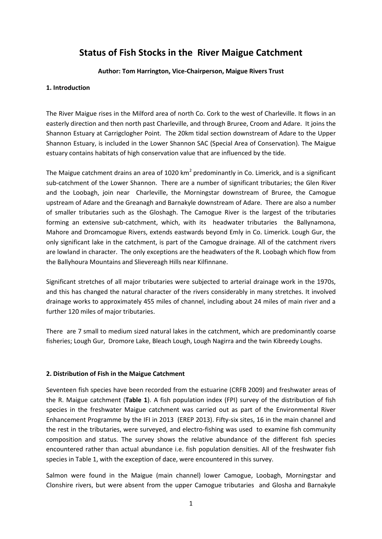# **Status of Fish Stocks in the River Maigue Catchment**

### **Author: Tom Harrington, Vice-Chairperson, Maigue Rivers Trust**

### **1. Introduction**

The River Maigue rises in the Milford area of north Co. Cork to the west of Charleville. It flows in an easterly direction and then north past Charleville, and through Bruree, Croom and Adare. It joins the Shannon Estuary at Carrigclogher Point. The 20km tidal section downstream of Adare to the Upper Shannon Estuary, is included in the Lower Shannon SAC (Special Area of Conservation). The Maigue estuary contains habitats of high conservation value that are influenced by the tide.

The Maigue catchment drains an area of 1020 km<sup>2</sup> predominantly in Co. Limerick, and is a significant sub-catchment of the Lower Shannon. There are a number of significant tributaries; the Glen River and the Loobagh, join near Charleville, the Morningstar downstream of Bruree, the Camogue upstream of Adare and the Greanagh and Barnakyle downstream of Adare. There are also a number of smaller tributaries such as the Gloshagh. The Camogue River is the largest of the tributaries forming an extensive sub-catchment, which, with its headwater tributaries the Ballynamona, Mahore and Dromcamogue Rivers, extends eastwards beyond Emly in Co. Limerick. Lough Gur, the only significant lake in the catchment, is part of the Camogue drainage. All of the catchment rivers are lowland in character. The only exceptions are the headwaters of the R. Loobagh which flow from the Ballyhoura Mountains and Slievereagh Hills near Kilfinnane.

Significant stretches of all major tributaries were subjected to arterial drainage work in the 1970s, and this has changed the natural character of the rivers considerably in many stretches. It involved drainage works to approximately 455 miles of channel, including about 24 miles of main river and a further 120 miles of major tributaries.

There are 7 small to medium sized natural lakes in the catchment, which are predominantly coarse fisheries; Lough Gur, Dromore Lake, Bleach Lough, Lough Nagirra and the twin Kibreedy Loughs.

### **2. Distribution of Fish in the Maigue Catchment**

Seventeen fish species have been recorded from the estuarine (CRFB 2009) and freshwater areas of the R. Maigue catchment (**Table 1**). A fish population index (FPI) survey of the distribution of fish species in the freshwater Maigue catchment was carried out as part of the Environmental River Enhancement Programme by the IFI in 2013 (EREP 2013). Fifty-six sites, 16 in the main channel and the rest in the tributaries, were surveyed, and electro-fishing was used to examine fish community composition and status. The survey shows the relative abundance of the different fish species encountered rather than actual abundance i.e. fish population densities. All of the freshwater fish species in Table 1, with the exception of dace, were encountered in this survey.

Salmon were found in the Maigue (main channel) lower Camogue, Loobagh, Morningstar and Clonshire rivers, but were absent from the upper Camogue tributaries and Glosha and Barnakyle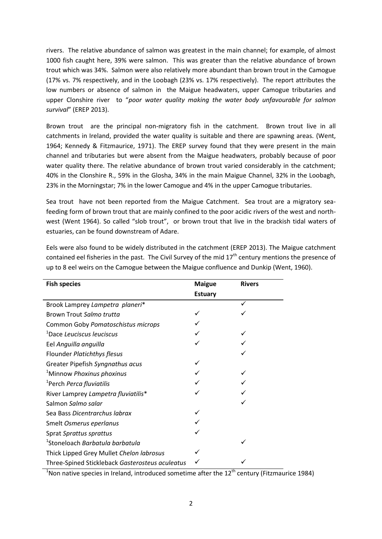rivers. The relative abundance of salmon was greatest in the main channel; for example, of almost 1000 fish caught here, 39% were salmon. This was greater than the relative abundance of brown trout which was 34%. Salmon were also relatively more abundant than brown trout in the Camogue (17% vs. 7% respectively, and in the Loobagh (23% vs. 17% respectively). The report attributes the low numbers or absence of salmon in the Maigue headwaters, upper Camogue tributaries and upper Clonshire river to "*poor water quality making the water body unfavourable for salmon survival*" (EREP 2013).

Brown trout are the principal non-migratory fish in the catchment. Brown trout live in all catchments in Ireland, provided the water quality is suitable and there are spawning areas. (Went, 1964; Kennedy & Fitzmaurice, 1971). The EREP survey found that they were present in the main channel and tributaries but were absent from the Maigue headwaters, probably because of poor water quality there. The relative abundance of brown trout varied considerably in the catchment; 40% in the Clonshire R., 59% in the Glosha, 34% in the main Maigue Channel, 32% in the Loobagh, 23% in the Morningstar; 7% in the lower Camogue and 4% in the upper Camogue tributaries.

Sea trout have not been reported from the Maigue Catchment. Sea trout are a migratory seafeeding form of brown trout that are mainly confined to the poor acidic rivers of the west and northwest (Went 1964). So called "slob trout", or brown trout that live in the brackish tidal waters of estuaries, can be found downstream of Adare.

| <b>Fish species</b>                             | <b>Maigue</b>  | <b>Rivers</b> |
|-------------------------------------------------|----------------|---------------|
|                                                 | <b>Estuary</b> |               |
| Brook Lamprey Lampetra planeri*                 |                |               |
| Brown Trout Salmo trutta                        |                |               |
| Common Goby Pomatoschistus microps              |                |               |
| <sup>1</sup> Dace Leuciscus leuciscus           |                |               |
| Eel Anguilla anguilla                           |                |               |
| Flounder Platichthys flesus                     |                |               |
| Greater Pipefish Syngnathus acus                |                |               |
| <sup>1</sup> Minnow Phoxinus phoxinus           |                |               |
| <sup>1</sup> Perch Perca fluviatilis            |                |               |
| River Lamprey Lampetra fluviatilis*             |                |               |
| Salmon Salmo salar                              |                |               |
| Sea Bass Dicentrarchus labrax                   |                |               |
| Smelt Osmerus eperlanus                         |                |               |
| Sprat Sprattus sprattus                         |                |               |
| <sup>1</sup> Stoneloach Barbatula barbatula     |                |               |
| Thick Lipped Grey Mullet Chelon labrosus        |                |               |
| Three-Spined Stickleback Gasterosteus aculeatus |                |               |

Eels were also found to be widely distributed in the catchment (EREP 2013). The Maigue catchment contained eel fisheries in the past. The Civil Survey of the mid  $17<sup>th</sup>$  century mentions the presence of up to 8 eel weirs on the Camogue between the Maigue confluence and Dunkip (Went, 1960).

<sup>1</sup> Non native species in Ireland, introduced sometime after the  $12<sup>th</sup>$  century (Fitzmaurice 1984)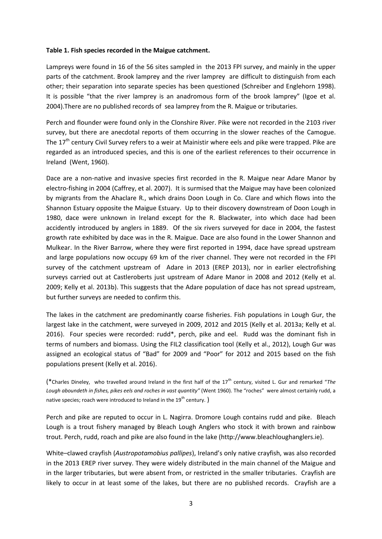### **Table 1. Fish species recorded in the Maigue catchment.**

Lampreys were found in 16 of the 56 sites sampled in the 2013 FPI survey, and mainly in the upper parts of the catchment. Brook lamprey and the river lamprey are difficult to distinguish from each other; their separation into separate species has been questioned (Schreiber and Englehorn 1998). It is possible "that the river lamprey is an anadromous form of the brook lamprey" (Igoe et al. 2004).There are no published records of sea lamprey from the R. Maigue or tributaries.

Perch and flounder were found only in the Clonshire River. Pike were not recorded in the 2103 river survey, but there are anecdotal reports of them occurring in the slower reaches of the Camogue. The 17<sup>th</sup> century Civil Survey refers to a weir at Mainistir where eels and pike were trapped. Pike are regarded as an introduced species, and this is one of the earliest references to their occurrence in Ireland (Went, 1960).

Dace are a non-native and invasive species first recorded in the R. Maigue near Adare Manor by electro-fishing in 2004 (Caffrey, et al. 2007). It is surmised that the Maigue may have been colonized by migrants from the Ahaclare R., which drains Doon Lough in Co. Clare and which flows into the Shannon Estuary opposite the Maigue Estuary. Up to their discovery downstream of Doon Lough in 1980, dace were unknown in Ireland except for the R. Blackwater, into which dace had been accidently introduced by anglers in 1889. Of the six rivers surveyed for dace in 2004, the fastest growth rate exhibited by dace was in the R. Maigue. Dace are also found in the Lower Shannon and Mulkear. In the River Barrow, where they were first reported in 1994, dace have spread upstream and large populations now occupy 69 km of the river channel. They were not recorded in the FPI survey of the catchment upstream of Adare in 2013 (EREP 2013), nor in earlier electrofishing surveys carried out at Castleroberts just upstream of Adare Manor in 2008 and 2012 (Kelly et al. 2009; Kelly et al. 2013b). This suggests that the Adare population of dace has not spread upstream, but further surveys are needed to confirm this.

The lakes in the catchment are predominantly coarse fisheries. Fish populations in Lough Gur, the largest lake in the catchment, were surveyed in 2009, 2012 and 2015 (Kelly et al. 2013a; Kelly et al. 2016). Four species were recorded: rudd\*, perch, pike and eel. Rudd was the dominant fish in terms of numbers and biomass. Using the FIL2 classification tool (Kelly et al., 2012), Lough Gur was assigned an ecological status of "Bad" for 2009 and "Poor" for 2012 and 2015 based on the fish populations present (Kelly et al. 2016).

(\*Charles Dineley, who travelled around Ireland in the first half of the 17th century, visited L. Gur and remarked "*The Lough aboundeth in fishes, pikes eels and roches in vast quantity"* (Went 1960). The "roches" were almost certainly rudd, a native species; roach were introduced to Ireland in the 19<sup>th</sup> century.)

Perch and pike are reputed to occur in L. Nagirra. Dromore Lough contains rudd and pike. Bleach Lough is a trout fishery managed by Bleach Lough Anglers who stock it with brown and rainbow trout. Perch, rudd, roach and pike are also found in the lake (http://www.bleachloughanglers.ie).

White–clawed crayfish (*Austropotamobius pallipes*), Ireland's only native crayfish, was also recorded in the 2013 EREP river survey. They were widely distributed in the main channel of the Maigue and in the larger tributaries, but were absent from, or restricted in the smaller tributaries. Crayfish are likely to occur in at least some of the lakes, but there are no published records. Crayfish are a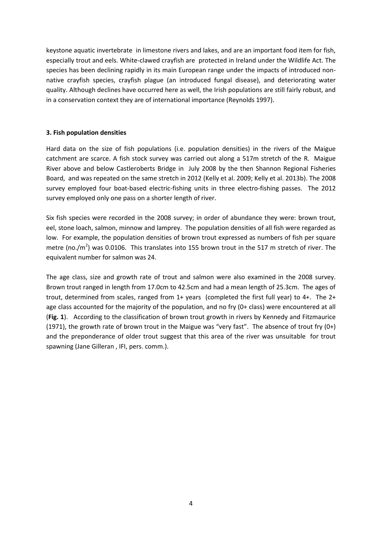keystone aquatic invertebrate in limestone rivers and lakes, and are an important food item for fish, especially trout and eels. White-clawed crayfish are protected in Ireland under the Wildlife Act. The species has been declining rapidly in its main European range under the impacts of introduced nonnative crayfish species, crayfish plague (an introduced fungal disease), and deteriorating water quality. Although declines have occurred here as well, the Irish populations are still fairly robust, and in a conservation context they are of international importance (Reynolds 1997).

### **3. Fish population densities**

Hard data on the size of fish populations (i.e. population densities) in the rivers of the Maigue catchment are scarce. A fish stock survey was carried out along a 517m stretch of the R. Maigue River above and below Castleroberts Bridge in July 2008 by the then Shannon Regional Fisheries Board, and was repeated on the same stretch in 2012 (Kelly et al. 2009; Kelly et al. 2013b). The 2008 survey employed four boat-based electric-fishing units in three electro-fishing passes. The 2012 survey employed only one pass on a shorter length of river.

Six fish species were recorded in the 2008 survey; in order of abundance they were: brown trout, eel, stone loach, salmon, minnow and lamprey. The population densities of all fish were regarded as low. For example, the population densities of brown trout expressed as numbers of fish per square metre (no./m<sup>2</sup>) was 0.0106. This translates into 155 brown trout in the 517 m stretch of river. The equivalent number for salmon was 24.

The age class, size and growth rate of trout and salmon were also examined in the 2008 survey. Brown trout ranged in length from 17.0cm to 42.5cm and had a mean length of 25.3cm. The ages of trout, determined from scales, ranged from 1+ years (completed the first full year) to 4+. The 2+ age class accounted for the majority of the population, and no fry (0+ class) were encountered at all (**Fig. 1**). According to the classification of brown trout growth in rivers by Kennedy and Fitzmaurice (1971), the growth rate of brown trout in the Maigue was "very fast". The absence of trout fry (0+) and the preponderance of older trout suggest that this area of the river was unsuitable for trout spawning (Jane Gilleran , IFI, pers. comm.).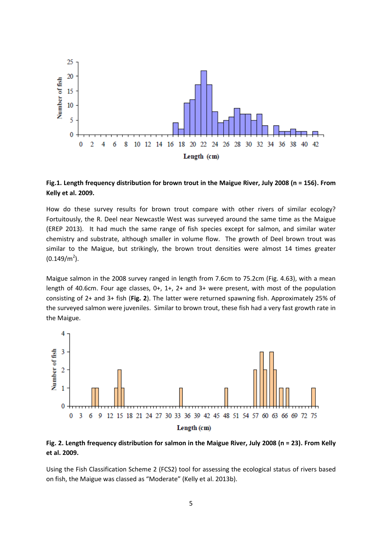

**Fig.1. Length frequency distribution for brown trout in the Maigue River, July 2008 (n = 156). From Kelly et al. 2009.**

How do these survey results for brown trout compare with other rivers of similar ecology? Fortuitously, the R. Deel near Newcastle West was surveyed around the same time as the Maigue (EREP 2013). It had much the same range of fish species except for salmon, and similar water chemistry and substrate, although smaller in volume flow. The growth of Deel brown trout was similar to the Maigue, but strikingly, the brown trout densities were almost 14 times greater  $(0.149/m<sup>2</sup>)$ .

Maigue salmon in the 2008 survey ranged in length from 7.6cm to 75.2cm (Fig. 4.63), with a mean length of 40.6cm. Four age classes, 0+, 1+, 2+ and 3+ were present, with most of the population consisting of 2+ and 3+ fish (**Fig. 2**). The latter were returned spawning fish. Approximately 25% of the surveyed salmon were juveniles. Similar to brown trout, these fish had a very fast growth rate in the Maigue.



**Fig. 2. Length frequency distribution for salmon in the Maigue River, July 2008 (n = 23). From Kelly et al. 2009.**

Using the Fish Classification Scheme 2 (FCS2) tool for assessing the ecological status of rivers based on fish, the Maigue was classed as "Moderate" (Kelly et al. 2013b).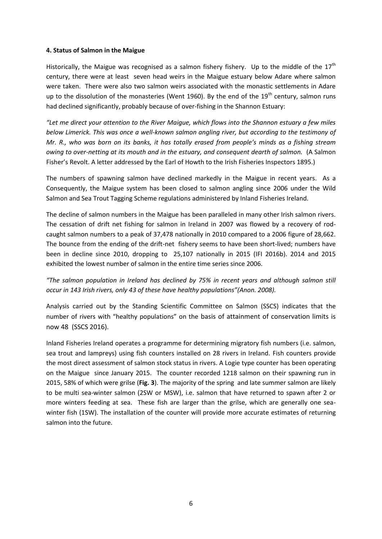### **4. Status of Salmon in the Maigue**

Historically, the Maigue was recognised as a salmon fishery fishery. Up to the middle of the  $17<sup>th</sup>$ century, there were at least seven head weirs in the Maigue estuary below Adare where salmon were taken. There were also two salmon weirs associated with the monastic settlements in Adare up to the dissolution of the monasteries (Went 1960). By the end of the  $19<sup>th</sup>$  century, salmon runs had declined significantly, probably because of over-fishing in the Shannon Estuary:

*"Let me direct your attention to the River Maigue, which flows into the Shannon estuary a few miles below Limerick. This was once a well-known salmon angling river, but according to the testimony of Mr. R., who was born on its banks, it has totally erased from people's minds as a fishing stream owing to over-netting at its mouth and in the estuary, and consequent dearth of salmon.* (A Salmon Fisher's Revolt. A letter addressed by the Earl of Howth to the Irish Fisheries Inspectors 1895.)

The numbers of spawning salmon have declined markedly in the Maigue in recent years. As a Consequently, the Maigue system has been closed to salmon angling since 2006 under the Wild Salmon and Sea Trout Tagging Scheme regulations administered by Inland Fisheries Ireland.

The decline of salmon numbers in the Maigue has been paralleled in many other Irish salmon rivers. The cessation of drift net fishing for salmon in Ireland in 2007 was flowed by a recovery of rodcaught salmon numbers to a peak of 37,478 nationally in 2010 compared to a 2006 figure of 28,662. The bounce from the ending of the drift-net fishery seems to have been short-lived; numbers have been in decline since 2010, dropping to 25,107 nationally in 2015 (IFI 2016b). 2014 and 2015 exhibited the lowest number of salmon in the entire time series since 2006.

# *"The salmon population in Ireland has declined by 75% in recent years and although salmon still occur in 143 Irish rivers, only 43 of these have healthy populations"(Anon. 2008).*

Analysis carried out by the Standing Scientific Committee on Salmon (SSCS) indicates that the number of rivers with "healthy populations" on the basis of attainment of conservation limits is now 48 (SSCS 2016).

Inland Fisheries Ireland operates a programme for determining migratory fish numbers (i.e. salmon, sea trout and lampreys) using fish counters installed on 28 rivers in Ireland. Fish counters provide the most direct assessment of salmon stock status in rivers. A Logie type counter has been operating on the Maigue since January 2015. The counter recorded 1218 salmon on their spawning run in 2015, 58% of which were grilse (**Fig. 3**). The majority of the spring and late summer salmon are likely to be multi sea-winter salmon (2SW or MSW), i.e. salmon that have returned to spawn after 2 or more winters feeding at sea. These fish are larger than the grilse, which are generally one seawinter fish (1SW). The installation of the counter will provide more accurate estimates of returning salmon into the future.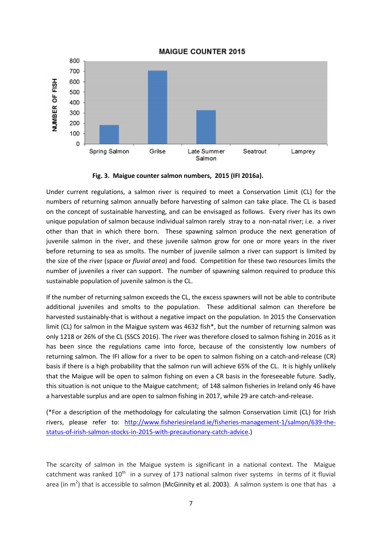### **MAIGUE COUNTER 2015**



**Fig. 3. Maigue counter salmon numbers, 2015 (IFI 2016a).**

Under current regulations, a salmon river is required to meet a Conservation Limit (CL) for the numbers of returning salmon annually before harvesting of salmon can take place. The CL is based on the concept of sustainable harvesting, and can be envisaged as follows. Every river has its own unique population of salmon because individual salmon rarely stray to a non-natal river; i.e. a river other than that in which there born. These spawning salmon produce the next generation of juvenile salmon in the river, and these juvenile salmon grow for one or more years in the river before returning to sea as smolts. The number of juvenile salmon a river can support is limited by the size of the river (space or *fluvial area*) and food. Competition for these two resources limits the number of juveniles a river can support. The number of spawning salmon required to produce this sustainable population of juvenile salmon is the CL.

If the number of returning salmon exceeds the CL, the excess spawners will not be able to contribute additional juveniles and smolts to the population. These additional salmon can therefore be harvested sustainably-that is without a negative impact on the population. In 2015 the Conservation limit (CL) for salmon in the Maigue system was 4632 fish\*, but the number of returning salmon was only 1218 or 26% of the CL (SSCS 2016). The river was therefore closed to salmon fishing in 2016 as it has been since the regulations came into force, because of the consistently low numbers of returning salmon. The IFI allow for a river to be open to salmon fishing on a catch-and-release (CR) basis if there is a high probability that the salmon run will achieve 65% of the CL. It is highly unlikely that the Maigue will be open to salmon fishing on even a CR basis in the foreseeable future. Sadly, this situation is not unique to the Maigue catchment; of 148 salmon fisheries in Ireland only 46 have a harvestable surplus and are open to salmon fishing in 2017, while 29 are catch-and-release.

(\*For a description of the methodology for calculating the salmon Conservation Limit (CL) for Irish rivers, please refer to: [http://www.fisheriesireland.ie/fisheries-management-1/salmon/639-the](http://www.fisheriesireland.ie/fisheries-management-1/salmon/639-the-status-of-irish-salmon-stocks-in-2015-with-precautionary-catch-advice)[status-of-irish-salmon-stocks-in-2015-with-precautionary-catch-advice.](http://www.fisheriesireland.ie/fisheries-management-1/salmon/639-the-status-of-irish-salmon-stocks-in-2015-with-precautionary-catch-advice))

The scarcity of salmon in the Maigue system is significant in a national context. The Maigue catchment was ranked  $10<sup>th</sup>$  in a survey of 173 national salmon river systems in terms of it fluvial area (in m<sup>2</sup>) that is accessible to salmon (McGinnity et al. 2003). A salmon system is one that has a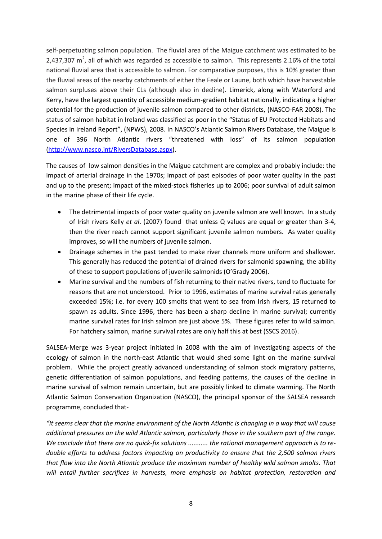self-perpetuating salmon population. The fluvial area of the Maigue catchment was estimated to be 2,437,307  $\text{m}^2$ , all of which was regarded as accessible to salmon. This represents 2.16% of the total national fluvial area that is accessible to salmon. For comparative purposes, this is 10% greater than the fluvial areas of the nearby catchments of either the Feale or Laune, both which have harvestable salmon surpluses above their CLs (although also in decline). Limerick, along with Waterford and Kerry, have the largest quantity of accessible medium-gradient habitat nationally, indicating a higher potential for the production of juvenile salmon compared to other districts, (NASCO-FAR 2008). The status of salmon habitat in Ireland was classified as poor in the "Status of EU Protected Habitats and Species in Ireland Report", (NPWS), 2008. In NASCO's Atlantic Salmon Rivers Database, the Maigue is one of 396 North Atlantic rivers "threatened with loss" of its salmon population [\(http://www.nasco.int/RiversDatabase.aspx\)](http://www.nasco.int/RiversDatabase.aspx).

The causes of low salmon densities in the Maigue catchment are complex and probably include: the impact of arterial drainage in the 1970s; impact of past episodes of poor water quality in the past and up to the present; impact of the mixed-stock fisheries up to 2006; poor survival of adult salmon in the marine phase of their life cycle.

- The detrimental impacts of poor water quality on juvenile salmon are well known. In a study of Irish rivers Kelly *et al*. (2007) found that unless Q values are equal or greater than 3-4, then the river reach cannot support significant juvenile salmon numbers. As water quality improves, so will the numbers of juvenile salmon.
- Drainage schemes in the past tended to make river channels more uniform and shallower. This generally has reduced the potential of drained rivers for salmonid spawning, the ability of these to support populations of juvenile salmonids (O'Grady 2006).
- Marine survival and the numbers of fish returning to their native rivers, tend to fluctuate for reasons that are not understood. Prior to 1996, estimates of marine survival rates generally exceeded 15%; i.e. for every 100 smolts that went to sea from Irish rivers, 15 returned to spawn as adults. Since 1996, there has been a sharp decline in marine survival; currently marine survival rates for Irish salmon are just above 5%. These figures refer to wild salmon. For hatchery salmon, marine survival rates are only half this at best (SSCS 2016).

SALSEA-Merge was 3-year project initiated in 2008 with the aim of investigating aspects of the ecology of salmon in the north-east Atlantic that would shed some light on the marine survival problem. While the project greatly advanced understanding of salmon stock migratory patterns, genetic differentiation of salmon populations, and feeding patterns, the causes of the decline in marine survival of salmon remain uncertain, but are possibly linked to climate warming. The North Atlantic Salmon Conservation Organization (NASCO), the principal sponsor of the SALSEA research programme, concluded that-

*"It seems clear that the marine environment of the North Atlantic is changing in a way that will cause additional pressures on the wild Atlantic salmon, particularly those in the southern part of the range. We conclude that there are no quick-fix solutions ........... the rational management approach is to redouble efforts to address factors impacting on productivity to ensure that the 2,500 salmon rivers that flow into the North Atlantic produce the maximum number of healthy wild salmon smolts. That will entail further sacrifices in harvests, more emphasis on habitat protection, restoration and*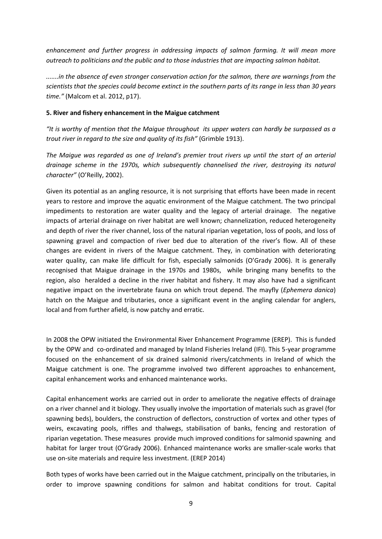*enhancement and further progress in addressing impacts of salmon farming. It will mean more outreach to politicians and the public and to those industries that are impacting salmon habitat.*

*.......in the absence of even stronger conservation action for the salmon, there are warnings from the scientists that the species could become extinct in the southern parts of its range in less than 30 years time."* (Malcom et al. 2012, p17).

### **5. River and fishery enhancement in the Maigue catchment**

*"It is worthy of mention that the Maigue throughout its upper waters can hardly be surpassed as a trout river in regard to the size and quality of its fish"* (Grimble 1913).

*The Maigue was regarded as one of Ireland's premier trout rivers up until the start of an arterial drainage scheme in the 1970s, which subsequently channelised the river, destroying its natural character"* (O'Reilly, 2002).

Given its potential as an angling resource, it is not surprising that efforts have been made in recent years to restore and improve the aquatic environment of the Maigue catchment. The two principal impediments to restoration are water quality and the legacy of arterial drainage. The negative impacts of arterial drainage on river habitat are well known; channelization, reduced heterogeneity and depth of river the river channel, loss of the natural riparian vegetation, loss of pools, and loss of spawning gravel and compaction of river bed due to alteration of the river's flow. All of these changes are evident in rivers of the Maigue catchment. They, in combination with deteriorating water quality, can make life difficult for fish, especially salmonids (O'Grady 2006). It is generally recognised that Maigue drainage in the 1970s and 1980s, while bringing many benefits to the region, also heralded a decline in the river habitat and fishery. It may also have had a significant negative impact on the invertebrate fauna on which trout depend. The mayfly (*Ephemera danica*) hatch on the Maigue and tributaries, once a significant event in the angling calendar for anglers, local and from further afield, is now patchy and erratic.

In 2008 the OPW initiated the Environmental River Enhancement Programme (EREP). This is funded by the OPW and co-ordinated and managed by Inland Fisheries Ireland (IFI). This 5-year programme focused on the enhancement of six drained salmonid rivers/catchments in Ireland of which the Maigue catchment is one. The programme involved two different approaches to enhancement, capital enhancement works and enhanced maintenance works.

Capital enhancement works are carried out in order to ameliorate the negative effects of drainage on a river channel and it biology. They usually involve the importation of materials such as gravel (for spawning beds), boulders, the construction of deflectors, construction of vortex and other types of weirs, excavating pools, riffles and thalwegs, stabilisation of banks, fencing and restoration of riparian vegetation. These measures provide much improved conditions for salmonid spawning and habitat for larger trout (O'Grady 2006). Enhanced maintenance works are smaller-scale works that use on-site materials and require less investment. (EREP 2014)

Both types of works have been carried out in the Maigue catchment, principally on the tributaries, in order to improve spawning conditions for salmon and habitat conditions for trout. Capital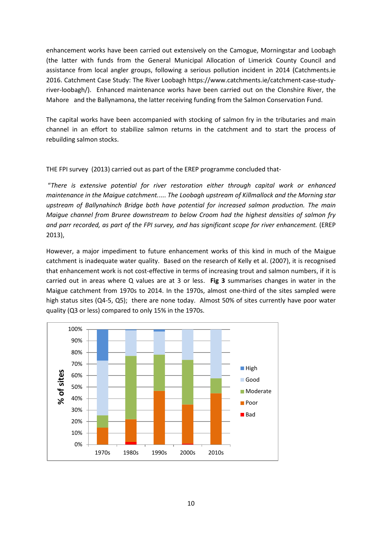enhancement works have been carried out extensively on the Camogue, Morningstar and Loobagh (the latter with funds from the General Municipal Allocation of Limerick County Council and assistance from local angler groups, following a serious pollution incident in 2014 (Catchments.ie 2016. Catchment Case Study: The River Loobagh https://www.catchments.ie/catchment-case-studyriver-loobagh/). Enhanced maintenance works have been carried out on the Clonshire River, the Mahore and the Ballynamona, the latter receiving funding from the Salmon Conservation Fund.

The capital works have been accompanied with stocking of salmon fry in the tributaries and main channel in an effort to stabilize salmon returns in the catchment and to start the process of rebuilding salmon stocks.

THE FPI survey (2013) carried out as part of the EREP programme concluded that-

"*There is extensive potential for river restoration either through capital work or enhanced maintenance in the Maigue catchment.*.... *The Loobagh upstream of Killmallock and the Morning star upstream of Ballynahinch Bridge both have potential for increased salmon production. The main Maigue channel from Bruree downstream to below Croom had the highest densities of salmon fry and parr recorded, as part of the FPI survey, and has significant scope for river enhancement.* (EREP 2013),

However, a major impediment to future enhancement works of this kind in much of the Maigue catchment is inadequate water quality. Based on the research of Kelly et al. (2007), it is recognised that enhancement work is not cost-effective in terms of increasing trout and salmon numbers, if it is carried out in areas where Q values are at 3 or less. **Fig 3** summarises changes in water in the Maigue catchment from 1970s to 2014. In the 1970s, almost one-third of the sites sampled were high status sites (Q4-5, Q5); there are none today. Almost 50% of sites currently have poor water quality (Q3 or less) compared to only 15% in the 1970s.

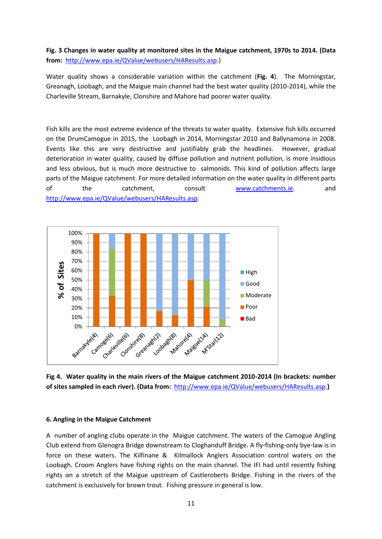## **Fig. 3 Changes in water quality at monitored sites in the Maigue catchment, 1970s to 2014. (Data from:** [http://www.epa.ie/QValue/webusers/HAResults.asp.](http://www.epa.ie/QValue/webusers/HAResults.asp))

Water quality shows a considerable variation within the catchment (**Fig. 4**). The Morningstar, Greanagh, Loobagh, and the Maigue main channel had the best water quality (2010-2014), while the Charleville Stream, Barnakyle, Clonshire and Mahore had poorer water quality.

Fish kills are the most extreme evidence of the threats to water quality. Extensive fish kills occurred on the DrumCamogue in 2015, the Loobagh in 2014, Morningstar 2010 and Ballynamona in 2008. Events like this are very destructive and justifiably grab the headlines. However, gradual deterioration in water quality, caused by diffuse pollution and nutrient pollution, is more insidious and less obvious, but is much more destructive to salmonids. This kind of pollution affects large parts of the Maigue catchment. For more detailed information on the water quality in different parts of the catchment, consult [www.catchments.ie.](http://www.catchments.ie/) and [http://www.epa.ie/QValue/webusers/HAResults.asp.](http://www.epa.ie/QValue/webusers/HAResults.asp)



**Fig 4. Water quality in the main rivers of the Maigue catchment 2010-2014 (In brackets: number of sites sampled in each river). (Data from:** [http://www.epa.ie/QValue/webusers/HAResults.asp.](http://www.epa.ie/QValue/webusers/HAResults.asp)**)**

### **6. Angling in the Maigue Catchment**

A number of angling clubs operate in the Maigue catchment. The waters of the Camogue Angling Club extend from Glenogra Bridge downstream to Cloghanduff Bridge. A fly-fishing-only bye-law is in force on these waters. The Kilfinane & Kilmallock Anglers Association control waters on the Loobagh. Croom Anglers have fishing rights on the main channel. The IFI had until recently fishing rights on a stretch of the Maigue upstream of Castleroberts Bridge. Fishing in the rivers of the catchment is exclusively for brown trout. Fishing pressure in general is low.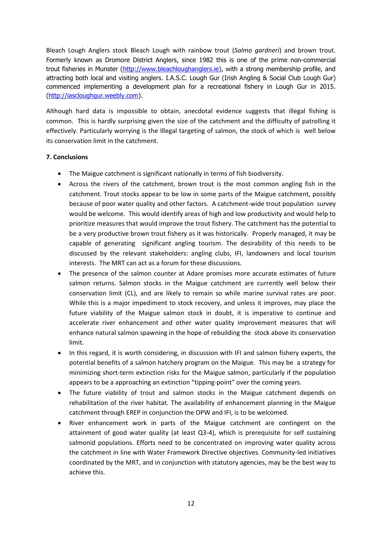Bleach Lough Anglers stock Bleach Lough with rainbow trout (*Salmo gardneri*) and brown trout. Formerly known as Dromore District Anglers, since 1982 this is one of the prime non-commercial trout fisheries in Munster [\(http://www.bleachloughanglers.ie\)](http://www.bleachloughanglers.ie/), with a strong membership profile, and attracting both local and visiting anglers. I.A.S.C. Lough Gur (Irish Angling & Social Club Lough Gur) commenced implementing a development plan for a recreational fishery in Lough Gur in 2015. [\(http://iascloughgur.weebly.com\)](http://iascloughgur.weebly.com/).

Although hard data is impossible to obtain, anecdotal evidence suggests that illegal fishing is common. This is hardly surprising given the size of the catchment and the difficulty of patrolling it effectively. Particularly worrying is the Illegal targeting of salmon, the stock of which is well below its conservation limit in the catchment.

### **7. Conclusions**

- The Maigue catchment is significant nationally in terms of fish biodiversity.
- Across the rivers of the catchment, brown trout is the most common angling fish in the catchment. Trout stocks appear to be low in some parts of the Maigue catchment, possibly because of poor water quality and other factors. A catchment-wide trout population survey would be welcome. This would identify areas of high and low productivity and would help to prioritize measures that would improve the trout fishery. The catchment has the potential to be a very productive brown trout fishery as it was historically. Properly managed, it may be capable of generating significant angling tourism. The desirability of this needs to be discussed by the relevant stakeholders: angling clubs, IFI, landowners and local tourism interests. The MRT can act as a forum for these discussions.
- The presence of the salmon counter at Adare promises more accurate estimates of future salmon returns. Salmon stocks in the Maigue catchment are currently well below their conservation limit (CL), and are likely to remain so while marine survival rates are poor. While this is a major impediment to stock recovery, and unless it improves, may place the future viability of the Maigue salmon stock in doubt, it is imperative to continue and accelerate river enhancement and other water quality improvement measures that will enhance natural salmon spawning in the hope of rebuilding the stock above its conservation limit.
- In this regard, it is worth considering, in discussion with IFI and salmon fishery experts, the potential benefits of a salmon hatchery program on the Maigue. This may be a strategy for minimizing short-term extinction risks for the Maigue salmon, particularly if the population appears to be a approaching an extinction "tipping-point" over the coming years.
- The future viability of trout and salmon stocks in the Maigue catchment depends on rehabilitation of the river habitat. The availability of enhancement planning in the Maigue catchment through EREP in conjunction the OPW and IFI, is to be welcomed.
- River enhancement work in parts of the Maigue catchment are contingent on the attainment of good water quality (at least Q3-4), which is prerequisite for self sustaining salmonid populations. Efforts need to be concentrated on improving water quality across the catchment in line with Water Framework Directive objectives. Community-led initiatives coordinated by the MRT, and in conjunction with statutory agencies, may be the best way to achieve this.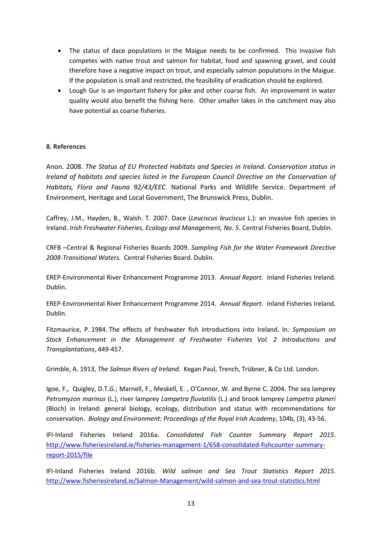- The status of dace populations in the Maigue needs to be confirmed. This invasive fish competes with native trout and salmon for habitat, food and spawning gravel, and could therefore have a negative impact on trout, and especially salmon populations in the Maigue. If the population is small and restricted, the feasibility of eradication should be explored.
- Lough Gur is an important fishery for pike and other coarse fish. An improvement in water quality would also benefit the fishing here. Other smaller lakes in the catchment may also have potential as coarse fisheries.

### **8. References**

Anon. 2008. *The Status of EU Protected Habitats and Species in Ireland. Conservation status in Ireland of habitats and species listed in the European Council Directive on the Conservation of Habitats, Flora and Fauna 92/43/EEC*. National Parks and Wildlife Service. Department of Environment, Heritage and Local Government, The Brunswick Press, Dublin.

Caffrey, J.M., Hayden, B., Walsh. T. 2007. Dace (*Leuciscus leuciscus* L.): an invasive fish species in Ireland. *Irish Freshwater Fisheries, Ecology and Management, No. 5*. Central Fisheries Board, Dublin.

CRFB –Central & Regional Fisheries Boards 2009. *Sampling Fish for the Water Framework Directive 2008-Transitional Waters.* Central Fisheries Board. Dublin.

EREP-Environmental River Enhancement Programme 2013. *Annual Report.* Inland Fisheries Ireland. Dublin.

EREP-Environmental River Enhancement Programme 2014. *Annual Report.* Inland Fisheries Ireland. Dublin.

Fitzmaurice, P. 1984. The effects of freshwater fish introductions into Ireland. In*: Symposium on Stock Enhancement in the Management of Freshwater Fisheries Vol. 2 Introductions and Transplantations*, 449-457.

Grimble, A. 1913, *The Salmon Rivers of Ireland*. Kegan Paul, Trench, Trübner, & Co Ltd. London.

Igoe, F., Quigley, D.T.G.; Marnell, F., Meskell, E. , O'Connor, W. and Byrne C. 2004. The sea lamprey *Petromyzon marinus* (L.), river lamprey *Lampetra fluviatilis* (L.) and brook lamprey *Lampetra planeri*  (Bloch) in Ireland: general biology, ecology, distribution and status with recommendations for conservation. *Biology and Environment: Proceedings of the Royal Irish Academy*, 104b, (3), 43-56.

IFI-Inland Fisheries Ireland 2016a. *Consolidated Fish Counter Summary Report 2015*. [http://www.fisheriesireland.ie/fisheries-management-1/658-consolidated-fishcounter-summary](http://www.fisheriesireland.ie/fisheries-management-1/658-consolidated-fishcounter-summary-report-2015/file)[report-2015/file](http://www.fisheriesireland.ie/fisheries-management-1/658-consolidated-fishcounter-summary-report-2015/file)

IFI-Inland Fisheries Ireland 2016b. *Wild salmon and Sea Trout Statistics Report 2015.* <http://www.fisheriesireland.ie/Salmon-Management/wild-salmon-and-sea-trout-statistics.html>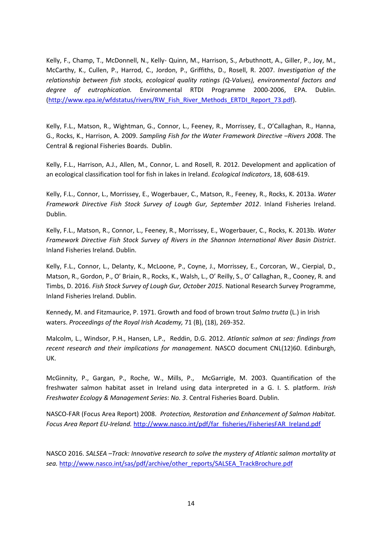Kelly, F., Champ, T., McDonnell, N., Kelly- Quinn, M., Harrison, S., Arbuthnott, A., Giller, P., Joy, M., McCarthy, K., Cullen, P., Harrod, C., Jordon, P., Griffiths, D., Rosell, R. 2007. *Investigation of the relationship between fish stocks, ecological quality ratings (Q-Values), environmental factors and degree of eutrophication.* Environmental RTDI Programme 2000-2006, EPA. Dublin. [\(http://www.epa.ie/wfdstatus/rivers/RW\\_Fish\\_River\\_Methods\\_ERTDI\\_Report\\_73.pdf\)](http://www.epa.ie/wfdstatus/rivers/RW_Fish_River_Methods_ERTDI_Report_73.pdf).

Kelly, F.L., Matson, R., Wightman, G., Connor, L., Feeney, R., Morrissey, E., O'Callaghan, R., Hanna, G., Rocks, K., Harrison, A. 2009. *Sampling Fish for the Water Framework Directive –Rivers 2008*. The Central & regional Fisheries Boards. Dublin.

Kelly, F.L., Harrison, A.J., Allen, M., Connor, L. and Rosell, R. 2012. Development and application of an ecological classification tool for fish in lakes in Ireland. *Ecological Indicators*, 18, 608-619.

Kelly, F.L., Connor, L., Morrissey, E., Wogerbauer, C., Matson, R., Feeney, R., Rocks, K. 2013a. *Water Framework Directive Fish Stock Survey of Lough Gur, September 2012*. Inland Fisheries Ireland. Dublin.

Kelly, F.L., Matson, R., Connor, L., Feeney, R., Morrissey, E., Wogerbauer, C., Rocks, K. 2013b. *Water Framework Directive Fish Stock Survey of Rivers in the Shannon International River Basin District*. Inland Fisheries Ireland. Dublin.

Kelly, F.L., Connor, L., Delanty, K., McLoone, P., Coyne, J., Morrissey, E., Corcoran, W., Cierpial, D., Matson, R., Gordon, P., O' Briain, R., Rocks, K., Walsh, L., O' Reilly, S., O' Callaghan, R., Cooney, R. and Timbs, D. 2016. *Fish Stock Survey of Lough Gur, October 2015*. National Research Survey Programme, Inland Fisheries Ireland. Dublin.

Kennedy, M. and Fitzmaurice, P. 1971. Growth and food of brown trout *Salmo trutta* (L.) in Irish waters. *Proceedings of the Royal Irish Academy,* 71 (B), (18), 269-352.

Malcolm, L., Windsor, P.H., Hansen, L.P., Reddin, D.G. 2012. *Atlantic salmon at sea: findings from recent research and their implications for management.* NASCO document CNL(12)60. Edinburgh, UK.

McGinnity, P., Gargan, P., Roche, W., Mills, P., McGarrigle, M. 2003. Quantification of the freshwater salmon habitat asset in Ireland using data interpreted in a G. I. S. platform. *Irish Freshwater Ecology & Management Series*: *No. 3*. Central Fisheries Board. Dublin.

NASCO-FAR (Focus Area Report) 2008. *Protection, Restoration and Enhancement of Salmon Habitat. Focus Area Report EU-Ireland.* [http://www.nasco.int/pdf/far\\_fisheries/FisheriesFAR\\_Ireland.pdf](http://www.nasco.int/pdf/far_fisheries/FisheriesFAR_Ireland.pdf)

NASCO 2016. *SALSEA –Track: Innovative research to solve the mystery of Atlantic salmon mortality at sea.* [http://www.nasco.int/sas/pdf/archive/other\\_reports/SALSEA\\_TrackBrochure.pdf](http://www.nasco.int/sas/pdf/archive/other_reports/SALSEA_TrackBrochure.pdf)